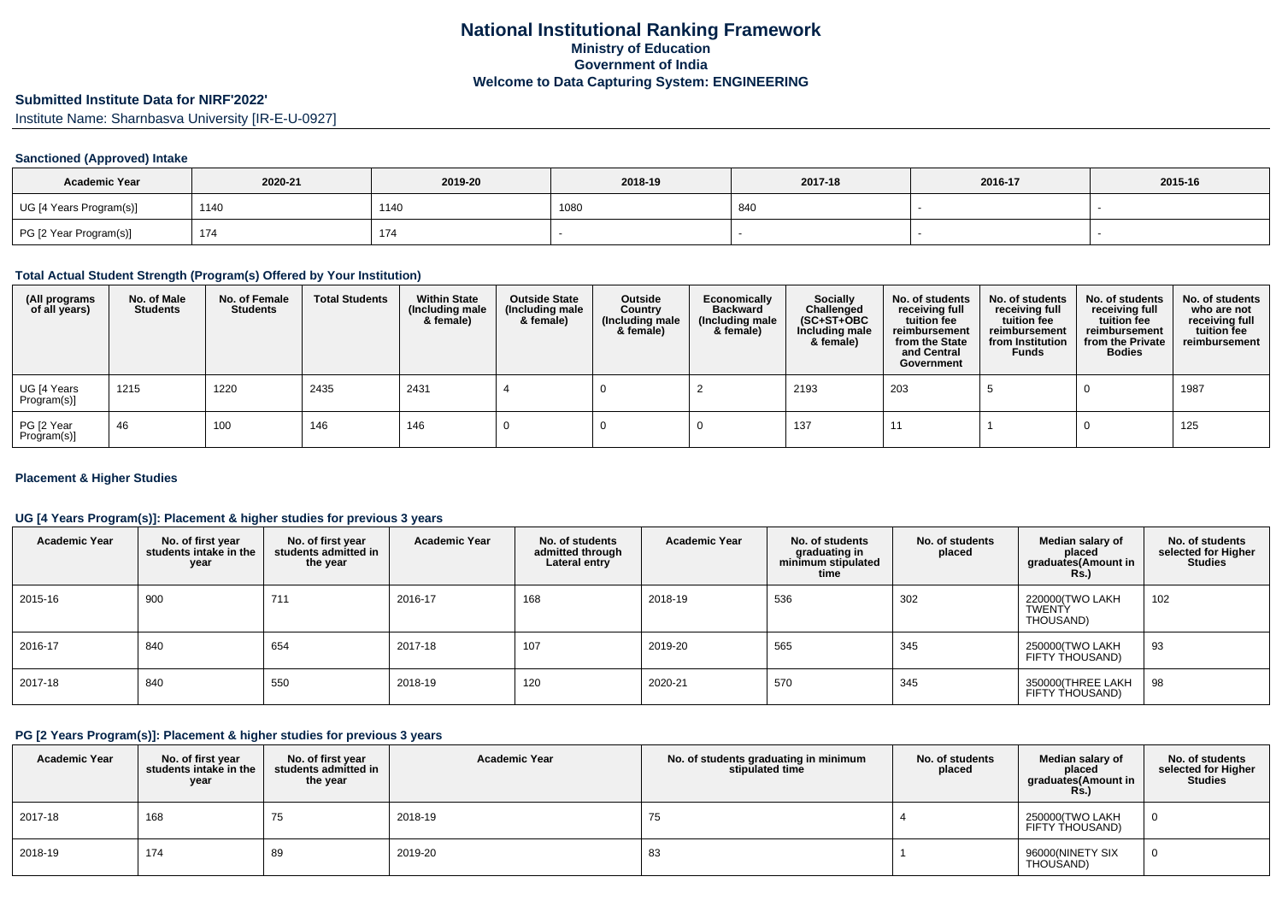# **Submitted Institute Data for NIRF'2022'**

Institute Name: Sharnbasva University [IR-E-U-0927]

### **Sanctioned (Approved) Intake**

| <b>Academic Year</b>    | 2020-21 | 2019-20 | 2018-19 | 2017-18 | 2016-17 | 2015-16 |
|-------------------------|---------|---------|---------|---------|---------|---------|
| UG [4 Years Program(s)] | 1140    | 1140    | 1080    | 840     |         |         |
| PG [2 Year Program(s)]  | 174     | 174     |         |         |         |         |

#### **Total Actual Student Strength (Program(s) Offered by Your Institution)**

| (All programs<br>of all years) | No. of Male<br><b>Students</b> | No. of Female<br>Students | <b>Total Students</b> | <b>Within State</b><br>(Including male<br>& female) | <b>Outside State</b><br>(Including male<br>& female) | Outside<br>Country<br>(Including male<br>& female) | Economically<br><b>Backward</b><br>(Including male<br>& female) | <b>Socially</b><br>Challenged<br>$(SC+ST+OBC)$<br>Including male<br>& female) | No. of students<br>receiving full<br>tuition fee<br>reimbursement<br>from the State<br>and Central<br>Government | No. of students<br>receiving full<br>tuition fee<br>reimbursement<br>from Institution<br><b>Funds</b> | No. of students<br>receiving full<br>tuition fee<br>reimbursement<br>from the Private<br><b>Bodies</b> | No. of students<br>who are not<br>receiving full<br>tuition fee<br>reimbursement |
|--------------------------------|--------------------------------|---------------------------|-----------------------|-----------------------------------------------------|------------------------------------------------------|----------------------------------------------------|-----------------------------------------------------------------|-------------------------------------------------------------------------------|------------------------------------------------------------------------------------------------------------------|-------------------------------------------------------------------------------------------------------|--------------------------------------------------------------------------------------------------------|----------------------------------------------------------------------------------|
| UG [4 Years<br>Program(s)]     | 1215                           | 1220                      | 2435                  | 2431                                                |                                                      |                                                    |                                                                 | 2193                                                                          | 203                                                                                                              |                                                                                                       |                                                                                                        | 1987                                                                             |
| PG [2 Year<br>Program(s)]      | 46                             | 100                       | 146                   | 146                                                 |                                                      |                                                    |                                                                 | 137                                                                           |                                                                                                                  |                                                                                                       |                                                                                                        | 125                                                                              |

#### **Placement & Higher Studies**

### **UG [4 Years Program(s)]: Placement & higher studies for previous 3 years**

| <b>Academic Year</b> | No. of first year<br>students intake in the<br>year | No. of first year<br>students admitted in<br>the year | <b>Academic Year</b> | No. of students<br>admitted through<br>Lateral entry | <b>Academic Year</b> | No. of students<br>graduating in<br>minimum stipulated<br>time | No. of students<br>placed | Median salary of<br>placed<br>graduates(Amount in<br>Rs.) | No. of students<br>selected for Higher<br><b>Studies</b> |
|----------------------|-----------------------------------------------------|-------------------------------------------------------|----------------------|------------------------------------------------------|----------------------|----------------------------------------------------------------|---------------------------|-----------------------------------------------------------|----------------------------------------------------------|
| 2015-16              | 900                                                 | 711                                                   | 2016-17              | 168                                                  | 2018-19              | 536                                                            | 302                       | 220000(TWO LAKH<br><b>TWENTY</b><br>THOUSAND)             | 102                                                      |
| 2016-17              | 840                                                 | 654                                                   | 2017-18              | 107                                                  | 2019-20              | 565                                                            | 345                       | 250000(TWO LAKH<br>FIFTY THOUSAND)                        | 93                                                       |
| $2017 - 18$          | 840                                                 | 550                                                   | 2018-19              | 120                                                  | 2020-21              | 570                                                            | 345                       | 350000(THREE LAKH<br>FIFTY THOUSAND)                      | 98                                                       |

#### **PG [2 Years Program(s)]: Placement & higher studies for previous 3 years**

| <b>Academic Year</b> | No. of first year<br>students intake in the<br>year | No. of first vear<br>students admitted in<br>the year | <b>Academic Year</b> | No. of students graduating in minimum<br>stipulated time | No. of students<br>placed | Median salary of<br>placed<br>graduates(Amount in<br><b>Rs.)</b> | No. of students<br>selected for Higher<br><b>Studies</b> |
|----------------------|-----------------------------------------------------|-------------------------------------------------------|----------------------|----------------------------------------------------------|---------------------------|------------------------------------------------------------------|----------------------------------------------------------|
| 2017-18              | 168                                                 | 75                                                    | 2018-19              | 75                                                       |                           | 250000(TWO LAKH<br>FIFTY THOUSAND)                               | 0                                                        |
| 2018-19              | 174                                                 | 89                                                    | 2019-20              | 83                                                       |                           | 96000(NINETY SIX<br>THOUSAND)                                    | 0                                                        |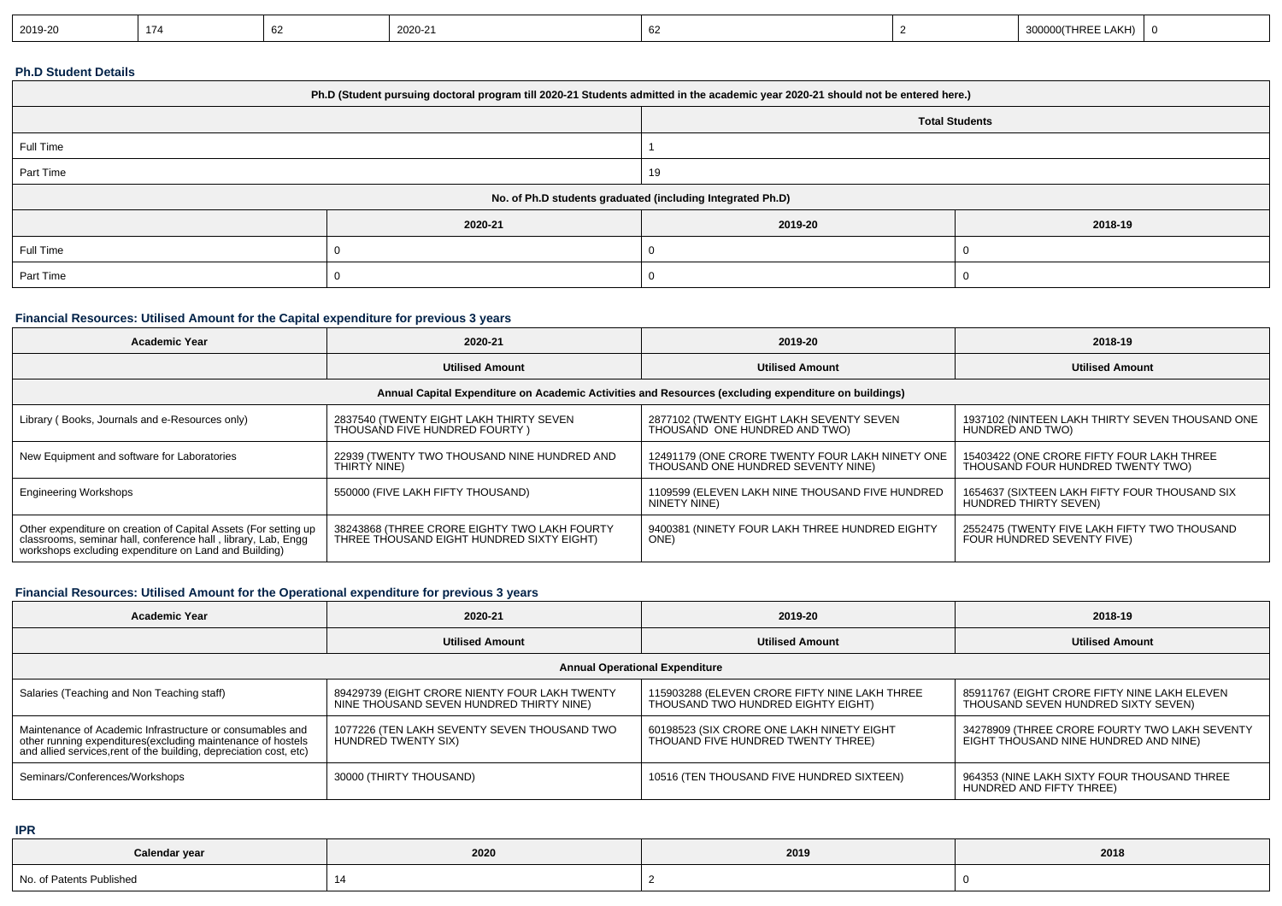|--|

#### **Ph.D Student Details**

| Ph.D (Student pursuing doctoral program till 2020-21 Students admitted in the academic year 2020-21 should not be entered here.) |         |                       |         |  |  |  |
|----------------------------------------------------------------------------------------------------------------------------------|---------|-----------------------|---------|--|--|--|
|                                                                                                                                  |         | <b>Total Students</b> |         |  |  |  |
| Full Time                                                                                                                        |         |                       |         |  |  |  |
| Part Time                                                                                                                        |         | 19                    |         |  |  |  |
| No. of Ph.D students graduated (including Integrated Ph.D)                                                                       |         |                       |         |  |  |  |
|                                                                                                                                  | 2020-21 | 2019-20               | 2018-19 |  |  |  |
| Full Time                                                                                                                        |         |                       |         |  |  |  |
| Part Time                                                                                                                        |         |                       |         |  |  |  |

#### **Financial Resources: Utilised Amount for the Capital expenditure for previous 3 years**

| <b>Academic Year</b>                                                                                                                                                                   | 2020-21                                                                                   | 2019-20                                                                               | 2018-19                                                                        |  |  |  |  |
|----------------------------------------------------------------------------------------------------------------------------------------------------------------------------------------|-------------------------------------------------------------------------------------------|---------------------------------------------------------------------------------------|--------------------------------------------------------------------------------|--|--|--|--|
|                                                                                                                                                                                        | <b>Utilised Amount</b>                                                                    | <b>Utilised Amount</b>                                                                | <b>Utilised Amount</b>                                                         |  |  |  |  |
| Annual Capital Expenditure on Academic Activities and Resources (excluding expenditure on buildings)                                                                                   |                                                                                           |                                                                                       |                                                                                |  |  |  |  |
| Library (Books, Journals and e-Resources only)                                                                                                                                         | 2837540 (TWENTY EIGHT LAKH THIRTY SEVEN<br>THOUSAND FIVE HUNDRED FOURTY)                  | 2877102 (TWENTY EIGHT LAKH SEVENTY SEVEN<br>THOUSAND ONE HUNDRED AND TWO)             | 1937102 (NINTEEN LAKH THIRTY SEVEN THOUSAND ONE<br>HUNDRED AND TWO)            |  |  |  |  |
| New Equipment and software for Laboratories                                                                                                                                            | 22939 (TWENTY TWO THOUSAND NINE HUNDRED AND<br>THIRTÝ NINE)                               | 12491179 (ONE CRORE TWENTY FOUR LAKH NINETY ONE<br>THOUSAND ONE HUNDRED SEVENTY NINE) | 15403422 (ONE CRORE FIFTY FOUR LAKH THREE<br>THOUSAND FOUR HUNDRED TWENTY TWO) |  |  |  |  |
| <b>Engineering Workshops</b>                                                                                                                                                           | 550000 (FIVE LAKH FIFTY THOUSAND)                                                         | 1109599 (ELEVEN LAKH NINE THOUSAND FIVE HUNDRED<br>NINETY NINE)                       | 1654637 (SIXTEEN LAKH FIFTY FOUR THOUSAND SIX<br>HUNDRED THIRTY SEVEN)         |  |  |  |  |
| Other expenditure on creation of Capital Assets (For setting up classrooms, seminar hall, conference hall, library, Lab, Engg<br>workshops excluding expenditure on Land and Building) | 38243868 (THREE CRORE EIGHTY TWO LAKH FOURTY<br>THREE THOUSAND EIGHT HUNDRED SIXTY EIGHT) | 9400381 (NINETY FOUR LAKH THREE HUNDRED EIGHTY<br>ONE)                                | 2552475 (TWENTY FIVE LAKH FIFTY TWO THOUSAND<br>FOUR HUNDRED SEVENTY FIVE)     |  |  |  |  |

## **Financial Resources: Utilised Amount for the Operational expenditure for previous 3 years**

| Academic Year                                                                                                                                                                                   | 2020-21                                                                                   | 2019-20                                                                             | 2018-19                                                                                |  |  |  |  |
|-------------------------------------------------------------------------------------------------------------------------------------------------------------------------------------------------|-------------------------------------------------------------------------------------------|-------------------------------------------------------------------------------------|----------------------------------------------------------------------------------------|--|--|--|--|
|                                                                                                                                                                                                 | <b>Utilised Amount</b>                                                                    | <b>Utilised Amount</b>                                                              | <b>Utilised Amount</b>                                                                 |  |  |  |  |
| <b>Annual Operational Expenditure</b>                                                                                                                                                           |                                                                                           |                                                                                     |                                                                                        |  |  |  |  |
| Salaries (Teaching and Non Teaching staff)                                                                                                                                                      | 89429739 (EIGHT CRORE NIENTY FOUR LAKH TWENTY<br>NINE THOUSAND SEVEN HUNDRED THIRTY NINE) | 115903288 (ELEVEN CRORE FIFTY NINE LAKH THREE<br>THOUSAND TWO HUNDRED EIGHTY EIGHT) | 85911767 (EIGHT CRORE FIFTY NINE LAKH ELEVEN<br>THOUSAND SEVEN HUNDRED SIXTY SEVEN)    |  |  |  |  |
| Maintenance of Academic Infrastructure or consumables and<br>other running expenditures (excluding maintenance of hostels<br>and allied services, rent of the building, depreciation cost, etc) | 1077226 (TEN LAKH SEVENTY SEVEN THOUSAND TWO<br>HUNDRED TWENTY SIX)                       | 60198523 (SIX CRORE ONE LAKH NINETY EIGHT<br>THOUAND FIVE HUNDRED TWENTY THREE)     | 34278909 (THREE CRORE FOURTY TWO LAKH SEVENTY<br>EIGHT THOUSAND NINE HUNDRED AND NINE) |  |  |  |  |
| Seminars/Conferences/Workshops                                                                                                                                                                  | 30000 (THIRTY THOUSAND)                                                                   | 10516 (TEN THOUSAND FIVE HUNDRED SIXTEEN)                                           | 964353 (NINE LAKH SIXTY FOUR THOUSAND THREE<br>HUNDRED AND FIFTY THREE)                |  |  |  |  |

**IPR**

| Calendar year            | 2020 | 2019 | 2018 |
|--------------------------|------|------|------|
| No. of Patents Published |      |      |      |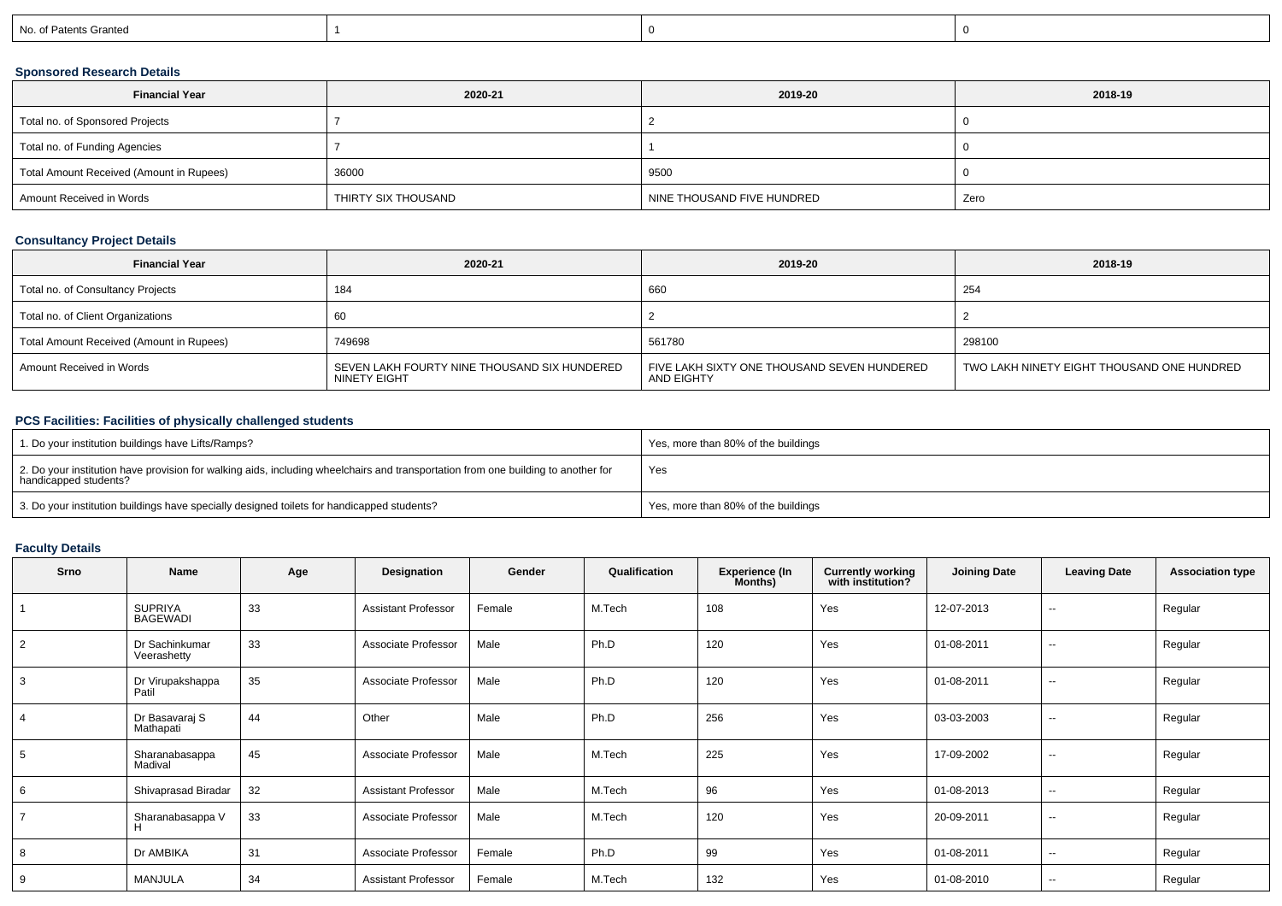| No. of Pr<br>'atents Granted |  |  |
|------------------------------|--|--|
|------------------------------|--|--|

## **Sponsored Research Details**

| <b>Financial Year</b>                    | 2020-21             | 2019-20                    | 2018-19 |
|------------------------------------------|---------------------|----------------------------|---------|
| Total no. of Sponsored Projects          |                     |                            |         |
| Total no. of Funding Agencies            |                     |                            |         |
| Total Amount Received (Amount in Rupees) | 36000               | 9500                       |         |
| Amount Received in Words                 | THIRTY SIX THOUSAND | NINE THOUSAND FIVE HUNDRED | Zero    |

## **Consultancy Project Details**

| <b>Financial Year</b>                    | 2020-21                                                      | 2019-20                                                   | 2018-19                                    |
|------------------------------------------|--------------------------------------------------------------|-----------------------------------------------------------|--------------------------------------------|
| Total no. of Consultancy Projects        | 184                                                          | 660                                                       | 254                                        |
| Total no. of Client Organizations        |                                                              |                                                           |                                            |
| Total Amount Received (Amount in Rupees) | 749698                                                       | 561780                                                    | 298100                                     |
| Amount Received in Words                 | SEVEN LAKH FOURTY NINE THOUSAND SIX HUNDERED<br>NINETY EIGHT | FIVE LAKH SIXTY ONE THOUSAND SEVEN HUNDERED<br>AND EIGHTY | TWO LAKH NINETY EIGHT THOUSAND ONE HUNDRED |

## **PCS Facilities: Facilities of physically challenged students**

| 1. Do your institution buildings have Lifts/Ramps?                                                                                                         | Yes, more than 80% of the buildings |
|------------------------------------------------------------------------------------------------------------------------------------------------------------|-------------------------------------|
| 2. Do your institution have provision for walking aids, including wheelchairs and transportation from one building to another for<br>handicapped students? | Yes                                 |
| 3. Do your institution buildings have specially designed toilets for handicapped students?                                                                 | Yes, more than 80% of the buildings |

## **Faculty Details**

| Srno           | <b>Name</b>                       | Age | Designation                | Gender | Qualification | <b>Experience (In</b><br>Months) | <b>Currently working</b><br>with institution? | <b>Joining Date</b> | <b>Leaving Date</b>      | <b>Association type</b> |
|----------------|-----------------------------------|-----|----------------------------|--------|---------------|----------------------------------|-----------------------------------------------|---------------------|--------------------------|-------------------------|
|                | <b>SUPRIYA</b><br><b>BAGEWADI</b> | 33  | <b>Assistant Professor</b> | Female | M.Tech        | 108                              | Yes                                           | 12-07-2013          | $\sim$                   | Regular                 |
| $\overline{2}$ | Dr Sachinkumar<br>Veerashetty     | 33  | Associate Professor        | Male   | Ph.D          | 120                              | Yes                                           | 01-08-2011          | $\sim$                   | Regular                 |
| 3              | Dr Virupakshappa<br>Patil         | 35  | Associate Professor        | Male   | Ph.D          | 120                              | Yes                                           | 01-08-2011          | $\sim$                   | Regular                 |
| $\overline{4}$ | Dr Basavaraj S<br>Mathapati       | 44  | Other                      | Male   | Ph.D          | 256                              | Yes                                           | 03-03-2003          | $\sim$                   | Regular                 |
| 5              | Sharanabasappa<br>Madival         | 45  | Associate Professor        | Male   | M.Tech        | 225                              | Yes                                           | 17-09-2002          | $\sim$                   | Regular                 |
| 6              | Shivaprasad Biradar               | 32  | <b>Assistant Professor</b> | Male   | M.Tech        | 96                               | Yes                                           | 01-08-2013          | $\sim$                   | Regular                 |
| $\overline{ }$ | Sharanabasappa V                  | 33  | Associate Professor        | Male   | M.Tech        | 120                              | Yes                                           | 20-09-2011          | $- -$                    | Regular                 |
| 8              | Dr AMBIKA                         | 31  | Associate Professor        | Female | Ph.D          | 99                               | Yes                                           | 01-08-2011          | $\sim$                   | Regular                 |
| 9              | MANJULA                           | 34  | <b>Assistant Professor</b> | Female | M.Tech        | 132                              | Yes                                           | 01-08-2010          | $\overline{\phantom{a}}$ | Regular                 |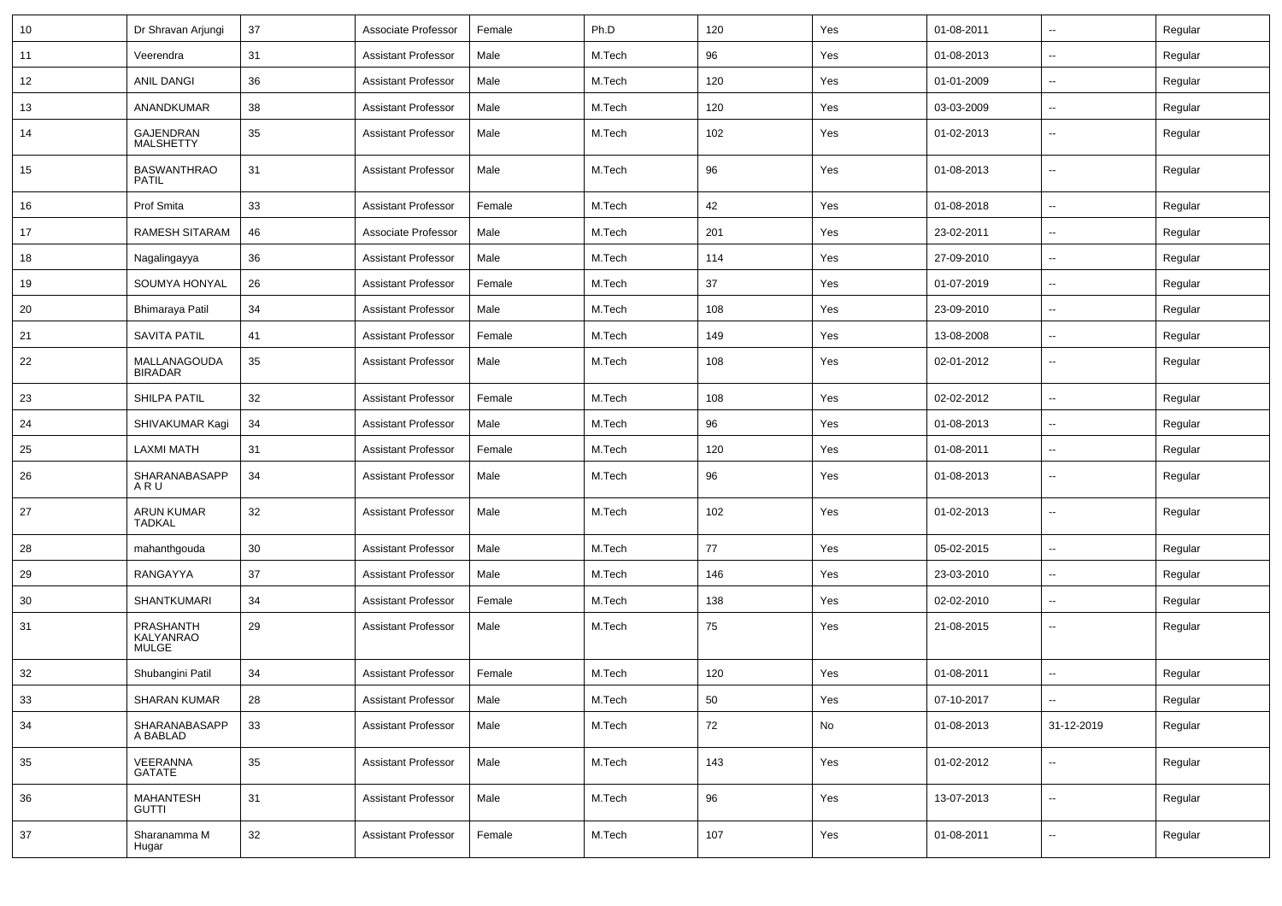| 10 | Dr Shravan Arjungi                     | 37 | Associate Professor        | Female | Ph.D   | 120 | Yes | 01-08-2011 | --                       | Regular |
|----|----------------------------------------|----|----------------------------|--------|--------|-----|-----|------------|--------------------------|---------|
| 11 | Veerendra                              | 31 | <b>Assistant Professor</b> | Male   | M.Tech | 96  | Yes | 01-08-2013 | -−                       | Regular |
| 12 | ANIL DANGI                             | 36 | <b>Assistant Professor</b> | Male   | M.Tech | 120 | Yes | 01-01-2009 | $\overline{\phantom{a}}$ | Regular |
| 13 | ANANDKUMAR                             | 38 | <b>Assistant Professor</b> | Male   | M.Tech | 120 | Yes | 03-03-2009 | --                       | Regular |
| 14 | GAJENDRAN<br><b>MALSHETTY</b>          | 35 | <b>Assistant Professor</b> | Male   | M.Tech | 102 | Yes | 01-02-2013 | ⊷.                       | Regular |
| 15 | <b>BASWANTHRAO</b><br><b>PATIL</b>     | 31 | <b>Assistant Professor</b> | Male   | M.Tech | 96  | Yes | 01-08-2013 | $\overline{\phantom{a}}$ | Regular |
| 16 | Prof Smita                             | 33 | <b>Assistant Professor</b> | Female | M.Tech | 42  | Yes | 01-08-2018 | $\overline{\phantom{a}}$ | Regular |
| 17 | <b>RAMESH SITARAM</b>                  | 46 | Associate Professor        | Male   | M.Tech | 201 | Yes | 23-02-2011 | ⊷.                       | Regular |
| 18 | Nagalingayya                           | 36 | <b>Assistant Professor</b> | Male   | M.Tech | 114 | Yes | 27-09-2010 | --                       | Regular |
| 19 | SOUMYA HONYAL                          | 26 | <b>Assistant Professor</b> | Female | M.Tech | 37  | Yes | 01-07-2019 | $\overline{\phantom{a}}$ | Regular |
| 20 | Bhimaraya Patil                        | 34 | <b>Assistant Professor</b> | Male   | M.Tech | 108 | Yes | 23-09-2010 | $\overline{\phantom{a}}$ | Regular |
| 21 | <b>SAVITA PATIL</b>                    | 41 | <b>Assistant Professor</b> | Female | M.Tech | 149 | Yes | 13-08-2008 | --                       | Regular |
| 22 | MALLANAGOUDA<br><b>BIRADAR</b>         | 35 | <b>Assistant Professor</b> | Male   | M.Tech | 108 | Yes | 02-01-2012 | ⊷.                       | Regular |
| 23 | <b>SHILPA PATIL</b>                    | 32 | <b>Assistant Professor</b> | Female | M.Tech | 108 | Yes | 02-02-2012 | $\overline{\phantom{a}}$ | Regular |
| 24 | SHIVAKUMAR Kagi                        | 34 | <b>Assistant Professor</b> | Male   | M.Tech | 96  | Yes | 01-08-2013 | ⊶.                       | Regular |
| 25 | <b>LAXMI MATH</b>                      | 31 | <b>Assistant Professor</b> | Female | M.Tech | 120 | Yes | 01-08-2011 | -−                       | Regular |
| 26 | SHARANABASAPP<br>ARU                   | 34 | <b>Assistant Professor</b> | Male   | M.Tech | 96  | Yes | 01-08-2013 | $\overline{\phantom{a}}$ | Regular |
| 27 | ARUN KUMAR<br><b>TADKAL</b>            | 32 | <b>Assistant Professor</b> | Male   | M.Tech | 102 | Yes | 01-02-2013 | $\overline{\phantom{a}}$ | Regular |
| 28 | mahanthgouda                           | 30 | <b>Assistant Professor</b> | Male   | M.Tech | 77  | Yes | 05-02-2015 | $\overline{\phantom{a}}$ | Regular |
| 29 | RANGAYYA                               | 37 | <b>Assistant Professor</b> | Male   | M.Tech | 146 | Yes | 23-03-2010 | $\overline{\phantom{a}}$ | Regular |
| 30 | <b>SHANTKUMARI</b>                     | 34 | <b>Assistant Professor</b> | Female | M.Tech | 138 | Yes | 02-02-2010 | --                       | Regular |
| 31 | PRASHANTH<br>KALYANRAO<br><b>MULGE</b> | 29 | <b>Assistant Professor</b> | Male   | M.Tech | 75  | Yes | 21-08-2015 | $\overline{\phantom{a}}$ | Regular |
| 32 | Shubangini Patil                       | 34 | <b>Assistant Professor</b> | Female | M.Tech | 120 | Yes | 01-08-2011 |                          | Regular |
| 33 | SHARAN KUMAR                           | 28 | <b>Assistant Professor</b> | Male   | M.Tech | 50  | Yes | 07-10-2017 |                          | Regular |
| 34 | SHARANABASAPP<br>A BABLAD              | 33 | <b>Assistant Professor</b> | Male   | M.Tech | 72  | No  | 01-08-2013 | 31-12-2019               | Regular |
| 35 | VEERANNA<br>GATATE                     | 35 | <b>Assistant Professor</b> | Male   | M.Tech | 143 | Yes | 01-02-2012 | Щ,                       | Regular |
| 36 | <b>MAHANTESH</b><br><b>GUTTI</b>       | 31 | <b>Assistant Professor</b> | Male   | M.Tech | 96  | Yes | 13-07-2013 | Щ,                       | Regular |
| 37 | Sharanamma M<br>Hugar                  | 32 | <b>Assistant Professor</b> | Female | M.Tech | 107 | Yes | 01-08-2011 | $\overline{\phantom{a}}$ | Regular |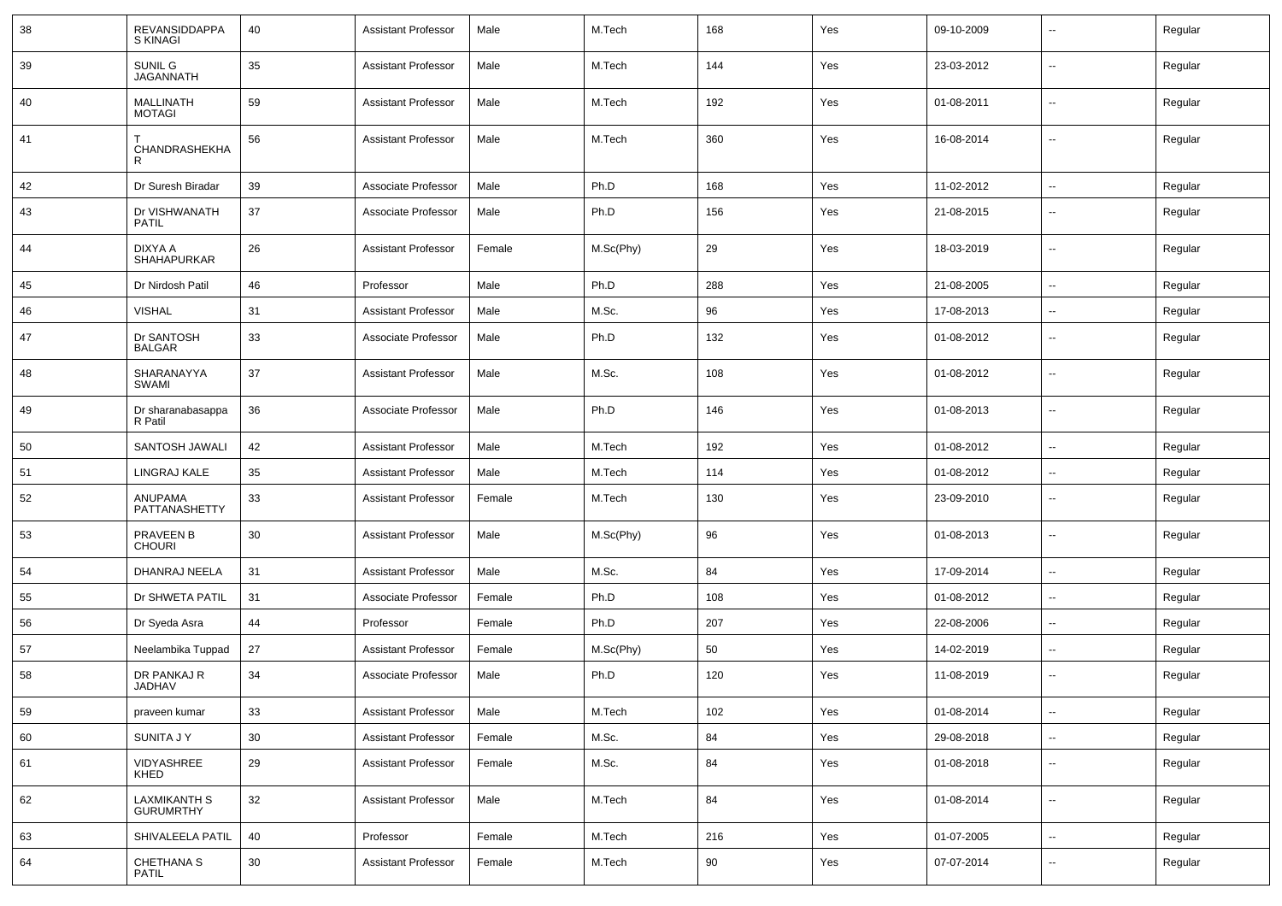| 38 | <b>REVANSIDDAPPA</b><br><b>S KINAGI</b> | 40 | <b>Assistant Professor</b> | Male   | M.Tech    | 168 | Yes | 09-10-2009 | $\overline{\phantom{a}}$ | Regular |
|----|-----------------------------------------|----|----------------------------|--------|-----------|-----|-----|------------|--------------------------|---------|
| 39 | SUNIL G<br><b>JAGANNATH</b>             | 35 | <b>Assistant Professor</b> | Male   | M.Tech    | 144 | Yes | 23-03-2012 | $\overline{\phantom{a}}$ | Regular |
| 40 | <b>MALLINATH</b><br><b>MOTAGI</b>       | 59 | <b>Assistant Professor</b> | Male   | M.Tech    | 192 | Yes | 01-08-2011 | $\overline{\phantom{a}}$ | Regular |
| 41 | CHANDRASHEKHA<br>R                      | 56 | <b>Assistant Professor</b> | Male   | M.Tech    | 360 | Yes | 16-08-2014 | $\sim$                   | Regular |
| 42 | Dr Suresh Biradar                       | 39 | Associate Professor        | Male   | Ph.D      | 168 | Yes | 11-02-2012 | $\sim$                   | Regular |
| 43 | Dr VISHWANATH<br><b>PATIL</b>           | 37 | Associate Professor        | Male   | Ph.D      | 156 | Yes | 21-08-2015 | $\sim$                   | Regular |
| 44 | DIXYA A<br><b>SHAHAPURKAR</b>           | 26 | <b>Assistant Professor</b> | Female | M.Sc(Phy) | 29  | Yes | 18-03-2019 | $\overline{\phantom{a}}$ | Regular |
| 45 | Dr Nirdosh Patil                        | 46 | Professor                  | Male   | Ph.D      | 288 | Yes | 21-08-2005 | $\sim$                   | Regular |
| 46 | <b>VISHAL</b>                           | 31 | <b>Assistant Professor</b> | Male   | M.Sc.     | 96  | Yes | 17-08-2013 | $\sim$                   | Regular |
| 47 | Dr SANTOSH<br><b>BALGAR</b>             | 33 | Associate Professor        | Male   | Ph.D      | 132 | Yes | 01-08-2012 | $\overline{\phantom{a}}$ | Regular |
| 48 | SHARANAYYA<br>SWAMI                     | 37 | <b>Assistant Professor</b> | Male   | M.Sc.     | 108 | Yes | 01-08-2012 | $\overline{\phantom{a}}$ | Regular |
| 49 | Dr sharanabasappa<br>R Patil            | 36 | Associate Professor        | Male   | Ph.D      | 146 | Yes | 01-08-2013 | $\overline{\phantom{a}}$ | Regular |
| 50 | SANTOSH JAWALI                          | 42 | <b>Assistant Professor</b> | Male   | M.Tech    | 192 | Yes | 01-08-2012 | $\sim$                   | Regular |
| 51 | LINGRAJ KALE                            | 35 | <b>Assistant Professor</b> | Male   | M.Tech    | 114 | Yes | 01-08-2012 | $\overline{\phantom{a}}$ | Regular |
| 52 | ANUPAMA<br>PATTANASHETTY                | 33 | <b>Assistant Professor</b> | Female | M.Tech    | 130 | Yes | 23-09-2010 | $\overline{\phantom{a}}$ | Regular |
| 53 | PRAVEEN B<br><b>CHOURI</b>              | 30 | <b>Assistant Professor</b> | Male   | M.Sc(Phy) | 96  | Yes | 01-08-2013 | $\overline{\phantom{a}}$ | Regular |
| 54 | DHANRAJ NEELA                           | 31 | <b>Assistant Professor</b> | Male   | M.Sc.     | 84  | Yes | 17-09-2014 | $\overline{\phantom{a}}$ | Regular |
| 55 | Dr SHWETA PATIL                         | 31 | Associate Professor        | Female | Ph.D      | 108 | Yes | 01-08-2012 | $\sim$                   | Regular |
| 56 | Dr Syeda Asra                           | 44 | Professor                  | Female | Ph.D      | 207 | Yes | 22-08-2006 | $\sim$                   | Regular |
| 57 | Neelambika Tuppad                       | 27 | <b>Assistant Professor</b> | Female | M.Sc(Phy) | 50  | Yes | 14-02-2019 | $\overline{\phantom{a}}$ | Regular |
| 58 | DR PANKAJ R<br><b>JADHAV</b>            | 34 | Associate Professor        | Male   | Ph.D      | 120 | Yes | 11-08-2019 | $\overline{\phantom{a}}$ | Regular |
| 59 | praveen kumar                           | 33 | <b>Assistant Professor</b> | Male   | M.Tech    | 102 | Yes | 01-08-2014 | $\overline{\phantom{a}}$ | Regular |
| 60 | SUNITA J Y                              | 30 | <b>Assistant Professor</b> | Female | M.Sc.     | 84  | Yes | 29-08-2018 | $\overline{\phantom{a}}$ | Regular |
| 61 | VIDYASHREE<br>KHED                      | 29 | <b>Assistant Professor</b> | Female | M.Sc.     | 84  | Yes | 01-08-2018 | $\overline{\phantom{a}}$ | Regular |
| 62 | <b>LAXMIKANTH S</b><br><b>GURUMRTHY</b> | 32 | <b>Assistant Professor</b> | Male   | M.Tech    | 84  | Yes | 01-08-2014 | $\overline{\phantom{a}}$ | Regular |
| 63 | SHIVALEELA PATIL                        | 40 | Professor                  | Female | M.Tech    | 216 | Yes | 01-07-2005 | $\sim$                   | Regular |
| 64 | CHETHANA S<br>PATIL                     | 30 | <b>Assistant Professor</b> | Female | M.Tech    | 90  | Yes | 07-07-2014 | $\overline{\phantom{a}}$ | Regular |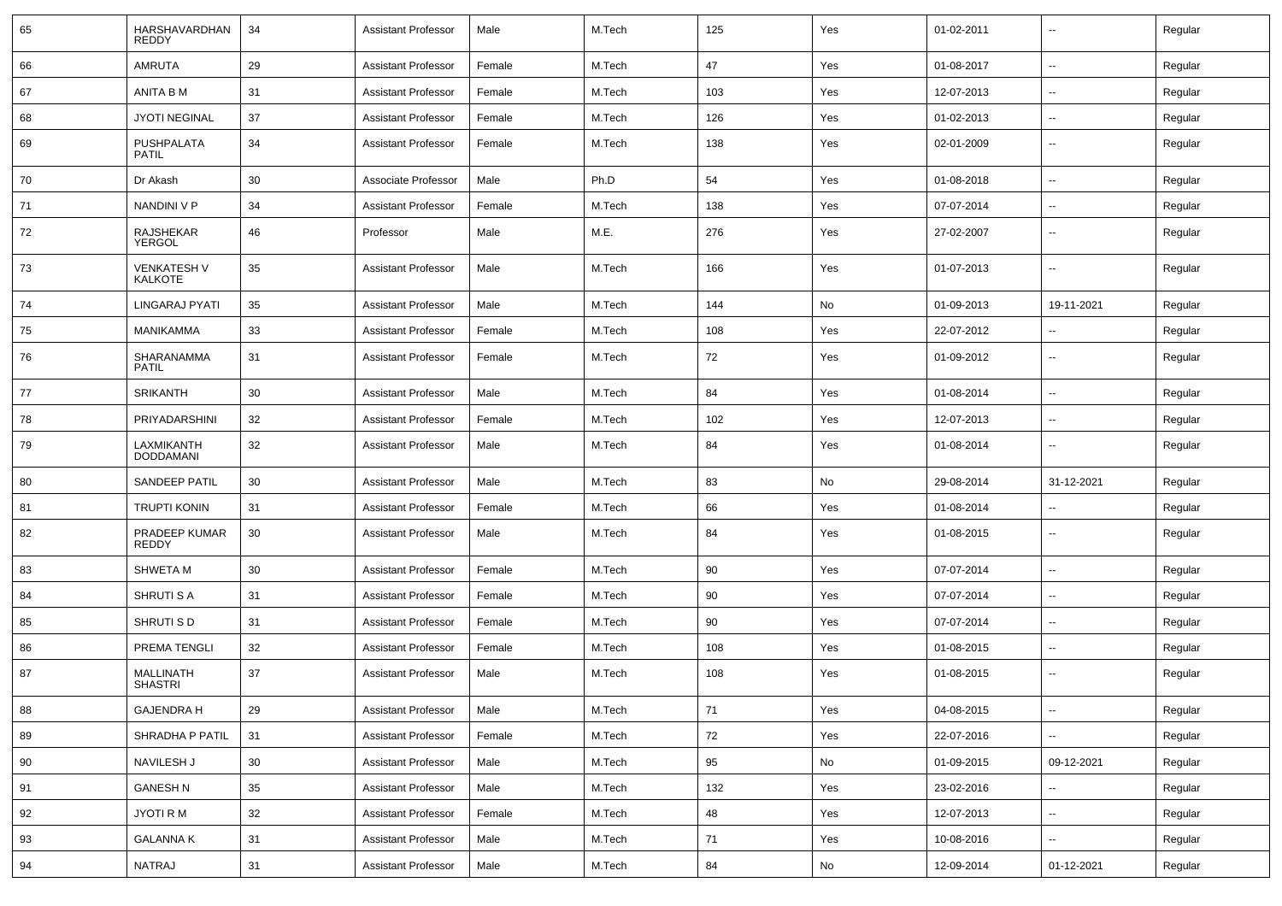| 65 | HARSHAVARDHAN<br><b>REDDY</b>  | 34 | <b>Assistant Professor</b> | Male   | M.Tech | 125 | Yes | 01-02-2011 | $\overline{\phantom{a}}$ | Regular |
|----|--------------------------------|----|----------------------------|--------|--------|-----|-----|------------|--------------------------|---------|
| 66 | <b>AMRUTA</b>                  | 29 | <b>Assistant Professor</b> | Female | M.Tech | 47  | Yes | 01-08-2017 | $\overline{\phantom{a}}$ | Regular |
| 67 | ANITA B M                      | 31 | <b>Assistant Professor</b> | Female | M.Tech | 103 | Yes | 12-07-2013 | н.                       | Regular |
| 68 | <b>JYOTI NEGINAL</b>           | 37 | <b>Assistant Professor</b> | Female | M.Tech | 126 | Yes | 01-02-2013 | --                       | Regular |
| 69 | PUSHPALATA<br><b>PATIL</b>     | 34 | <b>Assistant Professor</b> | Female | M.Tech | 138 | Yes | 02-01-2009 | --                       | Regular |
| 70 | Dr Akash                       | 30 | Associate Professor        | Male   | Ph.D   | 54  | Yes | 01-08-2018 | --                       | Regular |
| 71 | NANDINI V P                    | 34 | <b>Assistant Professor</b> | Female | M.Tech | 138 | Yes | 07-07-2014 | $\sim$                   | Regular |
| 72 | RAJSHEKAR<br>YERGOL            | 46 | Professor                  | Male   | M.E.   | 276 | Yes | 27-02-2007 | $\overline{\phantom{a}}$ | Regular |
| 73 | <b>VENKATESH V</b><br>KALKOTE  | 35 | <b>Assistant Professor</b> | Male   | M.Tech | 166 | Yes | 01-07-2013 | $\overline{\phantom{a}}$ | Regular |
| 74 | LINGARAJ PYATI                 | 35 | <b>Assistant Professor</b> | Male   | M.Tech | 144 | No  | 01-09-2013 | 19-11-2021               | Regular |
| 75 | <b>MANIKAMMA</b>               | 33 | <b>Assistant Professor</b> | Female | M.Tech | 108 | Yes | 22-07-2012 | $\overline{\phantom{a}}$ | Regular |
| 76 | SHARANAMMA<br><b>PATIL</b>     | 31 | <b>Assistant Professor</b> | Female | M.Tech | 72  | Yes | 01-09-2012 | $\overline{\phantom{a}}$ | Regular |
| 77 | <b>SRIKANTH</b>                | 30 | <b>Assistant Professor</b> | Male   | M.Tech | 84  | Yes | 01-08-2014 | н.                       | Regular |
| 78 | PRIYADARSHINI                  | 32 | <b>Assistant Professor</b> | Female | M.Tech | 102 | Yes | 12-07-2013 | $\overline{\phantom{a}}$ | Regular |
| 79 | LAXMIKANTH<br><b>DODDAMANI</b> | 32 | <b>Assistant Professor</b> | Male   | M.Tech | 84  | Yes | 01-08-2014 | --                       | Regular |
| 80 | SANDEEP PATIL                  | 30 | <b>Assistant Professor</b> | Male   | M.Tech | 83  | No  | 29-08-2014 | 31-12-2021               | Regular |
| 81 | <b>TRUPTI KONIN</b>            | 31 | <b>Assistant Professor</b> | Female | M.Tech | 66  | Yes | 01-08-2014 | --                       | Regular |
| 82 | PRADEEP KUMAR<br>REDDY         | 30 | <b>Assistant Professor</b> | Male   | M.Tech | 84  | Yes | 01-08-2015 | --                       | Regular |
| 83 | <b>SHWETA M</b>                | 30 | <b>Assistant Professor</b> | Female | M.Tech | 90  | Yes | 07-07-2014 | --                       | Regular |
| 84 | <b>SHRUTI S A</b>              | 31 | <b>Assistant Professor</b> | Female | M.Tech | 90  | Yes | 07-07-2014 | $\overline{\phantom{a}}$ | Regular |
| 85 | SHRUTI S D                     | 31 | <b>Assistant Professor</b> | Female | M.Tech | 90  | Yes | 07-07-2014 | $\overline{\phantom{a}}$ | Regular |
| 86 | PREMA TENGLI                   | 32 | <b>Assistant Professor</b> | Female | M.Tech | 108 | Yes | 01-08-2015 | --                       | Regular |
| 87 | MALLINATH<br><b>SHASTRI</b>    | 37 | <b>Assistant Professor</b> | Male   | M.Tech | 108 | Yes | 01-08-2015 | --                       | Regular |
| 88 | <b>GAJENDRA H</b>              | 29 | <b>Assistant Professor</b> | Male   | M.Tech | 71  | Yes | 04-08-2015 | Щ,                       | Regular |
| 89 | SHRADHA P PATIL                | 31 | <b>Assistant Professor</b> | Female | M.Tech | 72  | Yes | 22-07-2016 | -−                       | Regular |
| 90 | NAVILESH J                     | 30 | <b>Assistant Professor</b> | Male   | M.Tech | 95  | No  | 01-09-2015 | 09-12-2021               | Regular |
| 91 | <b>GANESH N</b>                | 35 | <b>Assistant Professor</b> | Male   | M.Tech | 132 | Yes | 23-02-2016 | Щ,                       | Regular |
| 92 | JYOTI R M                      | 32 | <b>Assistant Professor</b> | Female | M.Tech | 48  | Yes | 12-07-2013 | $\overline{\phantom{a}}$ | Regular |
| 93 | <b>GALANNA K</b>               | 31 | <b>Assistant Professor</b> | Male   | M.Tech | 71  | Yes | 10-08-2016 | $\overline{\phantom{a}}$ | Regular |
| 94 | NATRAJ                         | 31 | <b>Assistant Professor</b> | Male   | M.Tech | 84  | No  | 12-09-2014 | 01-12-2021               | Regular |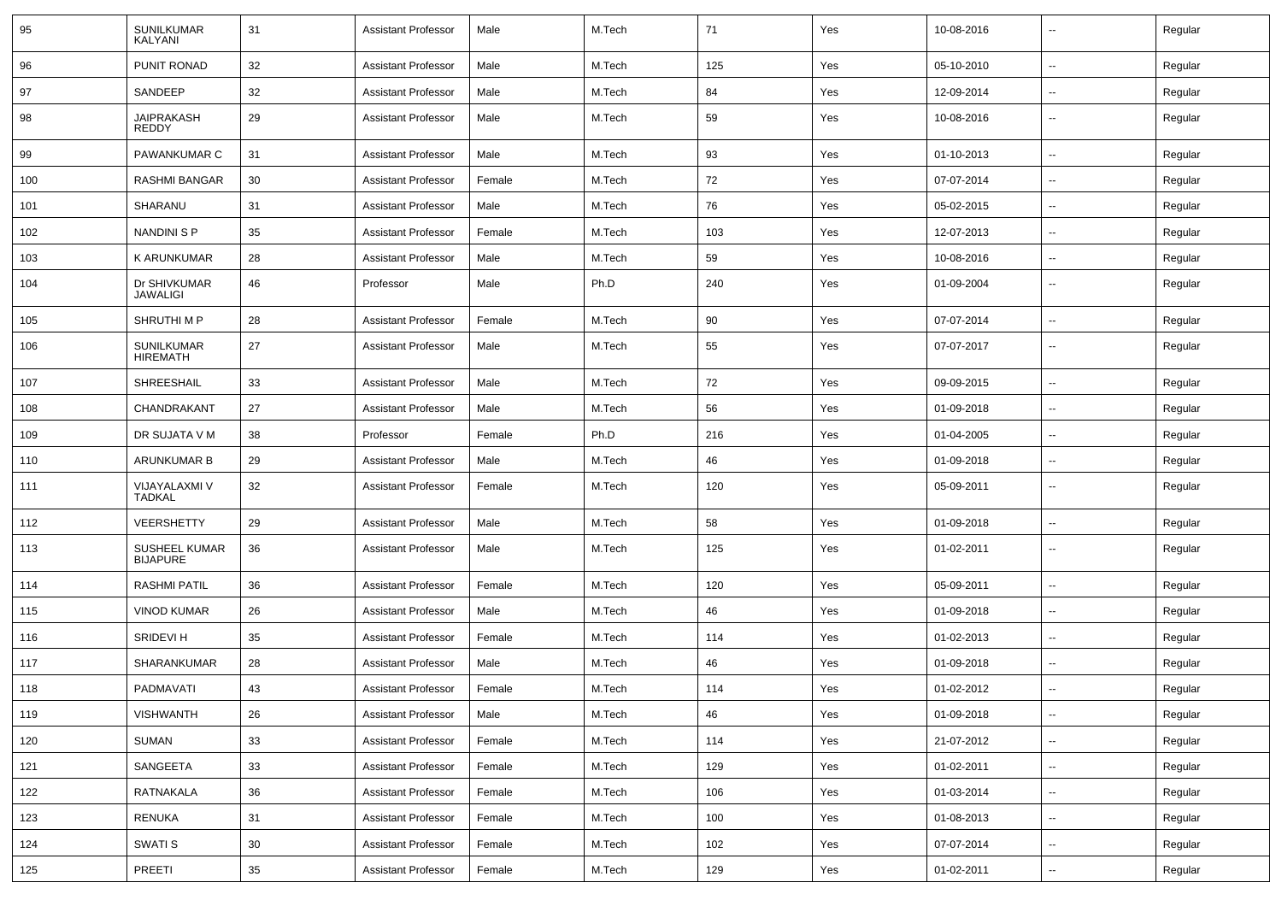| 95  | <b>SUNILKUMAR</b><br>KALYANI            | 31 | <b>Assistant Professor</b> | Male   | M.Tech | 71  | Yes | 10-08-2016 | $\overline{\phantom{a}}$ | Regular |
|-----|-----------------------------------------|----|----------------------------|--------|--------|-----|-----|------------|--------------------------|---------|
| 96  | PUNIT RONAD                             | 32 | <b>Assistant Professor</b> | Male   | M.Tech | 125 | Yes | 05-10-2010 | $\overline{\phantom{a}}$ | Regular |
| 97  | SANDEEP                                 | 32 | <b>Assistant Professor</b> | Male   | M.Tech | 84  | Yes | 12-09-2014 | $\overline{\phantom{a}}$ | Regular |
| 98  | <b>JAIPRAKASH</b><br><b>REDDY</b>       | 29 | <b>Assistant Professor</b> | Male   | M.Tech | 59  | Yes | 10-08-2016 | --                       | Regular |
| 99  | PAWANKUMAR C                            | 31 | <b>Assistant Professor</b> | Male   | M.Tech | 93  | Yes | 01-10-2013 | $\overline{\phantom{a}}$ | Regular |
| 100 | <b>RASHMI BANGAR</b>                    | 30 | <b>Assistant Professor</b> | Female | M.Tech | 72  | Yes | 07-07-2014 |                          | Regular |
| 101 | SHARANU                                 | 31 | <b>Assistant Professor</b> | Male   | M.Tech | 76  | Yes | 05-02-2015 | -−                       | Regular |
| 102 | NANDINI S P                             | 35 | <b>Assistant Professor</b> | Female | M.Tech | 103 | Yes | 12-07-2013 | $\overline{\phantom{a}}$ | Regular |
| 103 | K ARUNKUMAR                             | 28 | <b>Assistant Professor</b> | Male   | M.Tech | 59  | Yes | 10-08-2016 | $\overline{\phantom{a}}$ | Regular |
| 104 | Dr SHIVKUMAR<br><b>JAWALIGI</b>         | 46 | Professor                  | Male   | Ph.D   | 240 | Yes | 01-09-2004 | ⊷.                       | Regular |
| 105 | SHRUTHI M P                             | 28 | Assistant Professor        | Female | M.Tech | 90  | Yes | 07-07-2014 | $\overline{\phantom{a}}$ | Regular |
| 106 | SUNILKUMAR<br><b>HIREMATH</b>           | 27 | <b>Assistant Professor</b> | Male   | M.Tech | 55  | Yes | 07-07-2017 | $\overline{\phantom{a}}$ | Regular |
| 107 | SHREESHAIL                              | 33 | <b>Assistant Professor</b> | Male   | M.Tech | 72  | Yes | 09-09-2015 | $\overline{\phantom{a}}$ | Regular |
| 108 | CHANDRAKANT                             | 27 | <b>Assistant Professor</b> | Male   | M.Tech | 56  | Yes | 01-09-2018 | --                       | Regular |
| 109 | DR SUJATA V M                           | 38 | Professor                  | Female | Ph.D   | 216 | Yes | 01-04-2005 | --                       | Regular |
| 110 | <b>ARUNKUMAR B</b>                      | 29 | <b>Assistant Professor</b> | Male   | M.Tech | 46  | Yes | 01-09-2018 | --                       | Regular |
| 111 | VIJAYALAXMI V<br><b>TADKAL</b>          | 32 | <b>Assistant Professor</b> | Female | M.Tech | 120 | Yes | 05-09-2011 | $\overline{\phantom{a}}$ | Regular |
| 112 | <b>VEERSHETTY</b>                       | 29 | <b>Assistant Professor</b> | Male   | M.Tech | 58  | Yes | 01-09-2018 | $\overline{\phantom{a}}$ | Regular |
| 113 | <b>SUSHEEL KUMAR</b><br><b>BIJAPURE</b> | 36 | <b>Assistant Professor</b> | Male   | M.Tech | 125 | Yes | 01-02-2011 | $\overline{\phantom{a}}$ | Regular |
| 114 | RASHMI PATIL                            | 36 | <b>Assistant Professor</b> | Female | M.Tech | 120 | Yes | 05-09-2011 | ⊷.                       | Regular |
| 115 | <b>VINOD KUMAR</b>                      | 26 | <b>Assistant Professor</b> | Male   | M.Tech | 46  | Yes | 01-09-2018 | --                       | Regular |
| 116 | SRIDEVI H                               | 35 | <b>Assistant Professor</b> | Female | M.Tech | 114 | Yes | 01-02-2013 | --                       | Regular |
| 117 | SHARANKUMAR                             | 28 | <b>Assistant Professor</b> | Male   | M.Tech | 46  | Yes | 01-09-2018 | --                       | Regular |
| 118 | PADMAVATI                               | 43 | <b>Assistant Professor</b> | Female | M.Tech | 114 | Yes | 01-02-2012 | --                       | Regular |
| 119 | <b>VISHWANTH</b>                        | 26 | Assistant Professor        | Male   | M.Tech | 46  | Yes | 01-09-2018 | $\overline{\phantom{a}}$ | Regular |
| 120 | <b>SUMAN</b>                            | 33 | <b>Assistant Professor</b> | Female | M.Tech | 114 | Yes | 21-07-2012 | $\sim$                   | Regular |
| 121 | SANGEETA                                | 33 | <b>Assistant Professor</b> | Female | M.Tech | 129 | Yes | 01-02-2011 | $\sim$                   | Regular |
| 122 | RATNAKALA                               | 36 | <b>Assistant Professor</b> | Female | M.Tech | 106 | Yes | 01-03-2014 | $\overline{\phantom{a}}$ | Regular |
| 123 | RENUKA                                  | 31 | <b>Assistant Professor</b> | Female | M.Tech | 100 | Yes | 01-08-2013 | $\sim$                   | Regular |
| 124 | SWATI S                                 | 30 | <b>Assistant Professor</b> | Female | M.Tech | 102 | Yes | 07-07-2014 | $\overline{\phantom{a}}$ | Regular |
| 125 | PREETI                                  | 35 | <b>Assistant Professor</b> | Female | M.Tech | 129 | Yes | 01-02-2011 | $\sim$                   | Regular |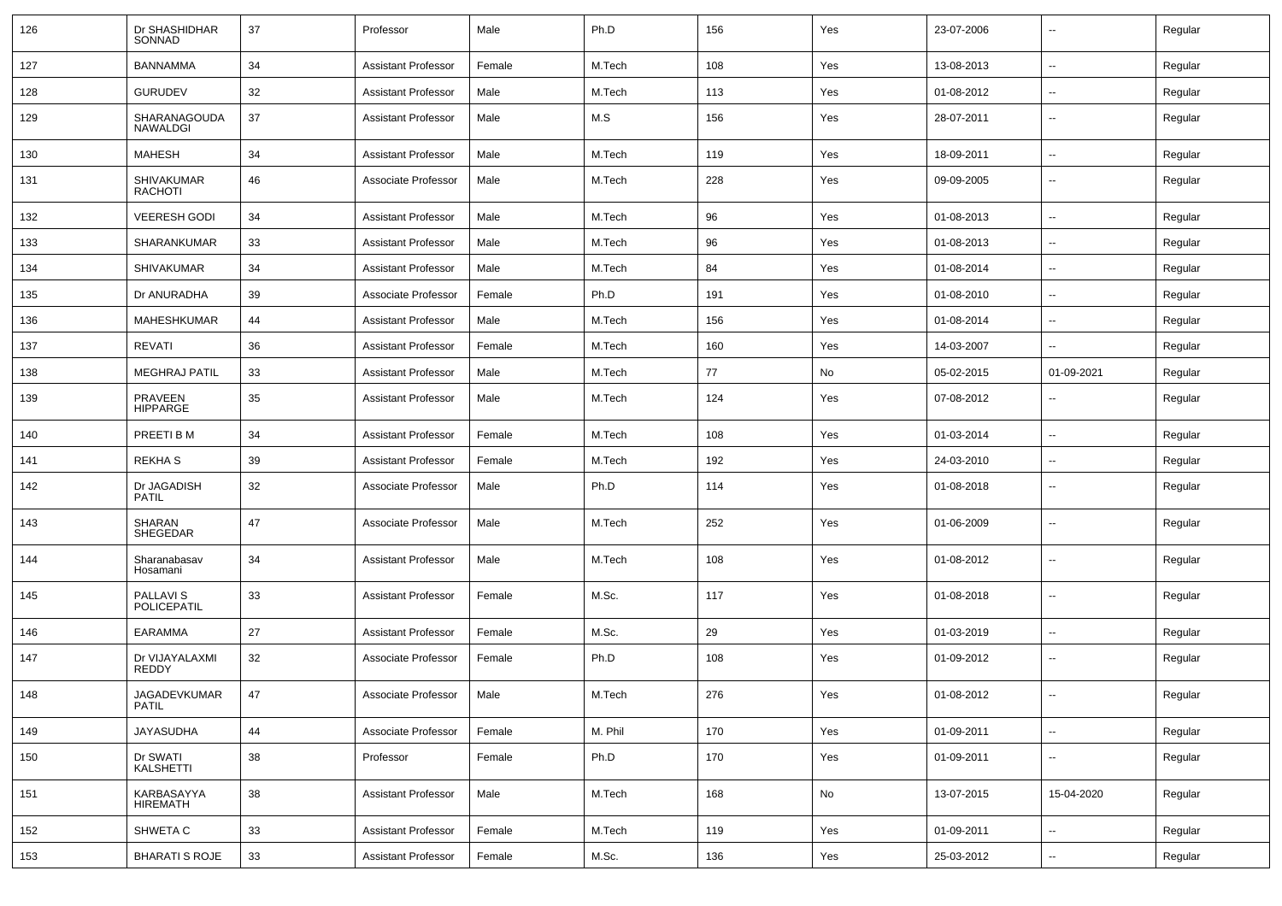| 126 | Dr SHASHIDHAR<br>SONNAD             | 37 | Professor                  | Male   | Ph.D    | 156 | Yes | 23-07-2006 | ۰.                       | Regular |
|-----|-------------------------------------|----|----------------------------|--------|---------|-----|-----|------------|--------------------------|---------|
| 127 | <b>BANNAMMA</b>                     | 34 | Assistant Professor        | Female | M.Tech  | 108 | Yes | 13-08-2013 | ⊷.                       | Regular |
| 128 | <b>GURUDEV</b>                      | 32 | Assistant Professor        | Male   | M.Tech  | 113 | Yes | 01-08-2012 | ۰.                       | Regular |
| 129 | SHARANAGOUDA<br>NAWALDGI            | 37 | <b>Assistant Professor</b> | Male   | M.S     | 156 | Yes | 28-07-2011 | ۰.                       | Regular |
| 130 | <b>MAHESH</b>                       | 34 | <b>Assistant Professor</b> | Male   | M.Tech  | 119 | Yes | 18-09-2011 | ۰.                       | Regular |
| 131 | <b>SHIVAKUMAR</b><br><b>RACHOTI</b> | 46 | Associate Professor        | Male   | M.Tech  | 228 | Yes | 09-09-2005 | --                       | Regular |
| 132 | <b>VEERESH GODI</b>                 | 34 | <b>Assistant Professor</b> | Male   | M.Tech  | 96  | Yes | 01-08-2013 | $\overline{a}$           | Regular |
| 133 | SHARANKUMAR                         | 33 | Assistant Professor        | Male   | M.Tech  | 96  | Yes | 01-08-2013 | $\overline{a}$           | Regular |
| 134 | SHIVAKUMAR                          | 34 | <b>Assistant Professor</b> | Male   | M.Tech  | 84  | Yes | 01-08-2014 | $\sim$                   | Regular |
| 135 | Dr ANURADHA                         | 39 | Associate Professor        | Female | Ph.D    | 191 | Yes | 01-08-2010 | ⊷.                       | Regular |
| 136 | MAHESHKUMAR                         | 44 | <b>Assistant Professor</b> | Male   | M.Tech  | 156 | Yes | 01-08-2014 | $\overline{\phantom{a}}$ | Regular |
| 137 | REVATI                              | 36 | <b>Assistant Professor</b> | Female | M.Tech  | 160 | Yes | 14-03-2007 | $\overline{a}$           | Regular |
| 138 | <b>MEGHRAJ PATIL</b>                | 33 | <b>Assistant Professor</b> | Male   | M.Tech  | 77  | No  | 05-02-2015 | 01-09-2021               | Regular |
| 139 | <b>PRAVEEN</b><br><b>HIPPARGE</b>   | 35 | <b>Assistant Professor</b> | Male   | M.Tech  | 124 | Yes | 07-08-2012 | --                       | Regular |
| 140 | PREETI B M                          | 34 | <b>Assistant Professor</b> | Female | M.Tech  | 108 | Yes | 01-03-2014 | $\overline{a}$           | Regular |
| 141 | <b>REKHAS</b>                       | 39 | <b>Assistant Professor</b> | Female | M.Tech  | 192 | Yes | 24-03-2010 | $\overline{\phantom{a}}$ | Regular |
| 142 | Dr JAGADISH<br><b>PATIL</b>         | 32 | Associate Professor        | Male   | Ph.D    | 114 | Yes | 01-08-2018 | $\overline{\phantom{a}}$ | Regular |
| 143 | SHARAN<br><b>SHEGEDAR</b>           | 47 | Associate Professor        | Male   | M.Tech  | 252 | Yes | 01-06-2009 | $\overline{\phantom{a}}$ | Regular |
| 144 | Sharanabasav<br>Hosamani            | 34 | Assistant Professor        | Male   | M.Tech  | 108 | Yes | 01-08-2012 | $\overline{\phantom{a}}$ | Regular |
| 145 | PALLAVI S<br>POLICEPATIL            | 33 | <b>Assistant Professor</b> | Female | M.Sc.   | 117 | Yes | 01-08-2018 | $\overline{\phantom{a}}$ | Regular |
| 146 | <b>EARAMMA</b>                      | 27 | <b>Assistant Professor</b> | Female | M.Sc.   | 29  | Yes | 01-03-2019 | ⊷.                       | Regular |
| 147 | Dr VIJAYALAXMI<br>REDDY             | 32 | Associate Professor        | Female | Ph.D    | 108 | Yes | 01-09-2012 | ۰.                       | Regular |
| 148 | <b>JAGADEVKUMAR</b><br><b>PATIL</b> | 47 | Associate Professor        | Male   | M.Tech  | 276 | Yes | 01-08-2012 | $\sim$                   | Regular |
| 149 | <b>JAYASUDHA</b>                    | 44 | Associate Professor        | Female | M. Phil | 170 | Yes | 01-09-2011 | н.                       | Regular |
| 150 | Dr SWATI<br>KALSHETTI               | 38 | Professor                  | Female | Ph.D    | 170 | Yes | 01-09-2011 | $\overline{\phantom{a}}$ | Regular |
| 151 | KARBASAYYA<br><b>HIREMATH</b>       | 38 | <b>Assistant Professor</b> | Male   | M.Tech  | 168 | No  | 13-07-2015 | 15-04-2020               | Regular |
| 152 | SHWETA C                            | 33 | <b>Assistant Professor</b> | Female | M.Tech  | 119 | Yes | 01-09-2011 | $\overline{\phantom{a}}$ | Regular |
| 153 | <b>BHARATI S ROJE</b>               | 33 | <b>Assistant Professor</b> | Female | M.Sc.   | 136 | Yes | 25-03-2012 | ⊷.                       | Regular |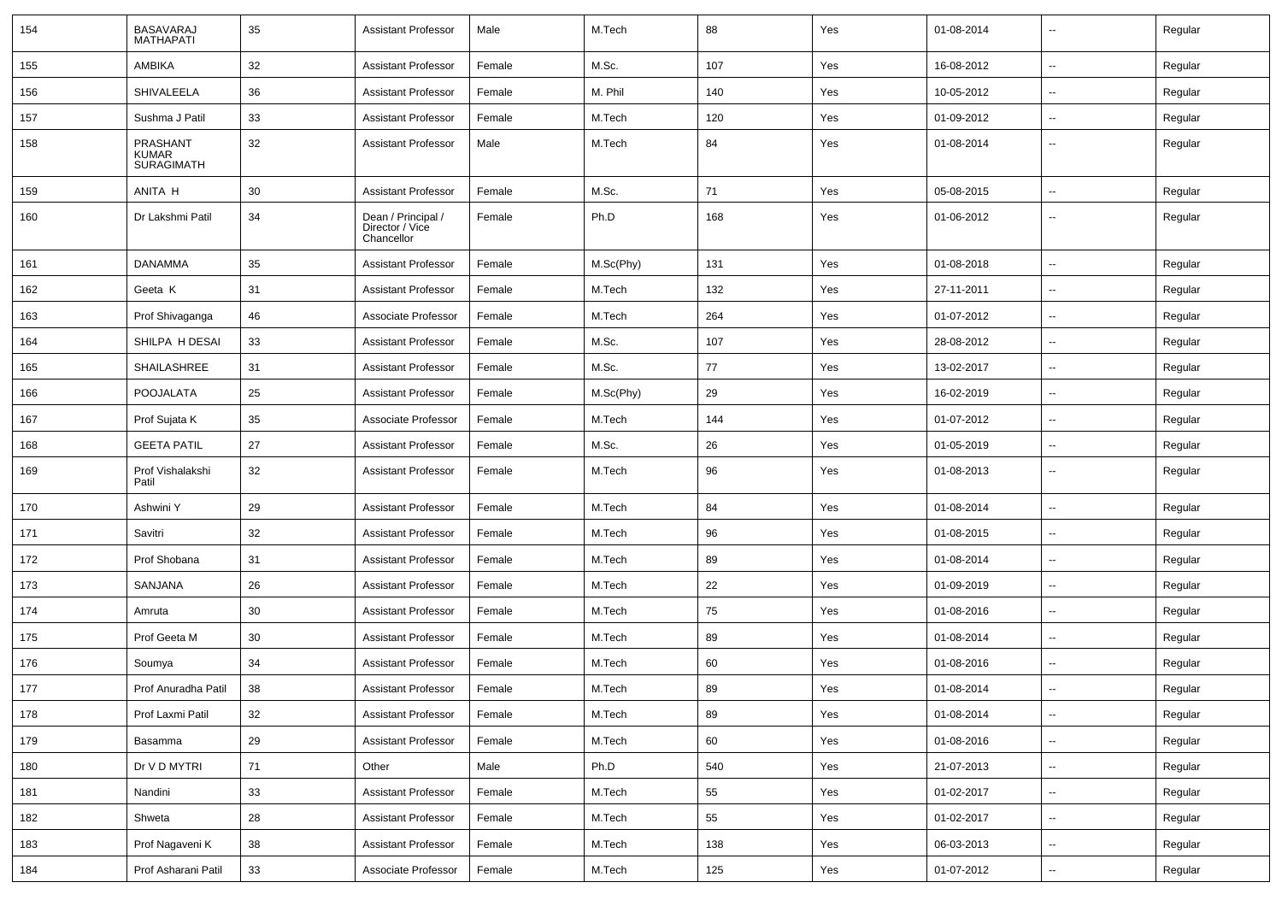| 154 | <b>BASAVARAJ</b><br><b>MATHAPATI</b>          | 35     | <b>Assistant Professor</b>                          | Male   | M.Tech    | 88  | Yes | 01-08-2014 | $\overline{\phantom{a}}$ | Regular |
|-----|-----------------------------------------------|--------|-----------------------------------------------------|--------|-----------|-----|-----|------------|--------------------------|---------|
| 155 | AMBIKA                                        | 32     | <b>Assistant Professor</b>                          | Female | M.Sc.     | 107 | Yes | 16-08-2012 | $\sim$                   | Regular |
| 156 | <b>SHIVALEELA</b>                             | 36     | <b>Assistant Professor</b>                          | Female | M. Phil   | 140 | Yes | 10-05-2012 | $\overline{\phantom{a}}$ | Regular |
| 157 | Sushma J Patil                                | 33     | <b>Assistant Professor</b>                          | Female | M.Tech    | 120 | Yes | 01-09-2012 | $\overline{\phantom{a}}$ | Regular |
| 158 | PRASHANT<br><b>KUMAR</b><br><b>SURAGIMATH</b> | 32     | <b>Assistant Professor</b>                          | Male   | M.Tech    | 84  | Yes | 01-08-2014 | $\overline{\phantom{a}}$ | Regular |
| 159 | ANITA H                                       | 30     | <b>Assistant Professor</b>                          | Female | M.Sc.     | 71  | Yes | 05-08-2015 | $\overline{\phantom{a}}$ | Regular |
| 160 | Dr Lakshmi Patil                              | 34     | Dean / Principal /<br>Director / Vice<br>Chancellor | Female | Ph.D      | 168 | Yes | 01-06-2012 | $\overline{\phantom{a}}$ | Regular |
| 161 | <b>DANAMMA</b>                                | 35     | <b>Assistant Professor</b>                          | Female | M.Sc(Phy) | 131 | Yes | 01-08-2018 |                          | Regular |
| 162 | Geeta K                                       | 31     | <b>Assistant Professor</b>                          | Female | M.Tech    | 132 | Yes | 27-11-2011 | $\overline{\phantom{a}}$ | Regular |
| 163 | Prof Shivaganga                               | 46     | Associate Professor                                 | Female | M.Tech    | 264 | Yes | 01-07-2012 |                          | Regular |
| 164 | SHILPA H DESAI                                | 33     | <b>Assistant Professor</b>                          | Female | M.Sc.     | 107 | Yes | 28-08-2012 | $\overline{\phantom{a}}$ | Regular |
| 165 | SHAILASHREE                                   | 31     | <b>Assistant Professor</b>                          | Female | M.Sc.     | 77  | Yes | 13-02-2017 | $\overline{\phantom{a}}$ | Regular |
| 166 | <b>POOJALATA</b>                              | 25     | <b>Assistant Professor</b>                          | Female | M.Sc(Phy) | 29  | Yes | 16-02-2019 | $\overline{\phantom{a}}$ | Regular |
| 167 | Prof Sujata K                                 | 35     | Associate Professor                                 | Female | M.Tech    | 144 | Yes | 01-07-2012 | $\overline{\phantom{a}}$ | Regular |
| 168 | <b>GEETA PATIL</b>                            | 27     | <b>Assistant Professor</b>                          | Female | M.Sc.     | 26  | Yes | 01-05-2019 | $\overline{\phantom{a}}$ | Regular |
| 169 | Prof Vishalakshi<br>Patil                     | 32     | <b>Assistant Professor</b>                          | Female | M.Tech    | 96  | Yes | 01-08-2013 | --                       | Regular |
| 170 | Ashwini Y                                     | 29     | <b>Assistant Professor</b>                          | Female | M.Tech    | 84  | Yes | 01-08-2014 | $\overline{\phantom{a}}$ | Regular |
| 171 | Savitri                                       | 32     | Assistant Professor                                 | Female | M.Tech    | 96  | Yes | 01-08-2015 | $\overline{\phantom{a}}$ | Regular |
| 172 | Prof Shobana                                  | 31     | <b>Assistant Professor</b>                          | Female | M.Tech    | 89  | Yes | 01-08-2014 | $\sim$                   | Regular |
| 173 | SANJANA                                       | 26     | <b>Assistant Professor</b>                          | Female | M.Tech    | 22  | Yes | 01-09-2019 | $\overline{\phantom{a}}$ | Regular |
| 174 | Amruta                                        | 30     | <b>Assistant Professor</b>                          | Female | M.Tech    | 75  | Yes | 01-08-2016 | $\overline{\phantom{a}}$ | Regular |
| 175 | Prof Geeta M                                  | 30     | <b>Assistant Professor</b>                          | Female | M.Tech    | 89  | Yes | 01-08-2014 | $\overline{\phantom{a}}$ | Regular |
| 176 | Soumya                                        | 34     | <b>Assistant Professor</b>                          | Female | M.Tech    | 60  | Yes | 01-08-2016 | $\overline{\phantom{a}}$ | Regular |
| 177 | Prof Anuradha Patil                           | 38     | <b>Assistant Professor</b>                          | Female | M.Tech    | 89  | Yes | 01-08-2014 | $\overline{\phantom{a}}$ | Regular |
| 178 | Prof Laxmi Patil                              | 32     | <b>Assistant Professor</b>                          | Female | M.Tech    | 89  | Yes | 01-08-2014 | $\sim$                   | Regular |
| 179 | Basamma                                       | 29     | <b>Assistant Professor</b>                          | Female | M.Tech    | 60  | Yes | 01-08-2016 | $\sim$                   | Regular |
| 180 | Dr V D MYTRI                                  | 71     | Other                                               | Male   | Ph.D      | 540 | Yes | 21-07-2013 | $\sim$                   | Regular |
| 181 | Nandini                                       | $33\,$ | <b>Assistant Professor</b>                          | Female | M.Tech    | 55  | Yes | 01-02-2017 | $\mathbf{u}$             | Regular |
| 182 | Shweta                                        | 28     | <b>Assistant Professor</b>                          | Female | M.Tech    | 55  | Yes | 01-02-2017 | $\sim$                   | Regular |
| 183 | Prof Nagaveni K                               | 38     | <b>Assistant Professor</b>                          | Female | M.Tech    | 138 | Yes | 06-03-2013 | $\sim$                   | Regular |
| 184 | Prof Asharani Patil                           | 33     | Associate Professor                                 | Female | M.Tech    | 125 | Yes | 01-07-2012 | $\sim$                   | Regular |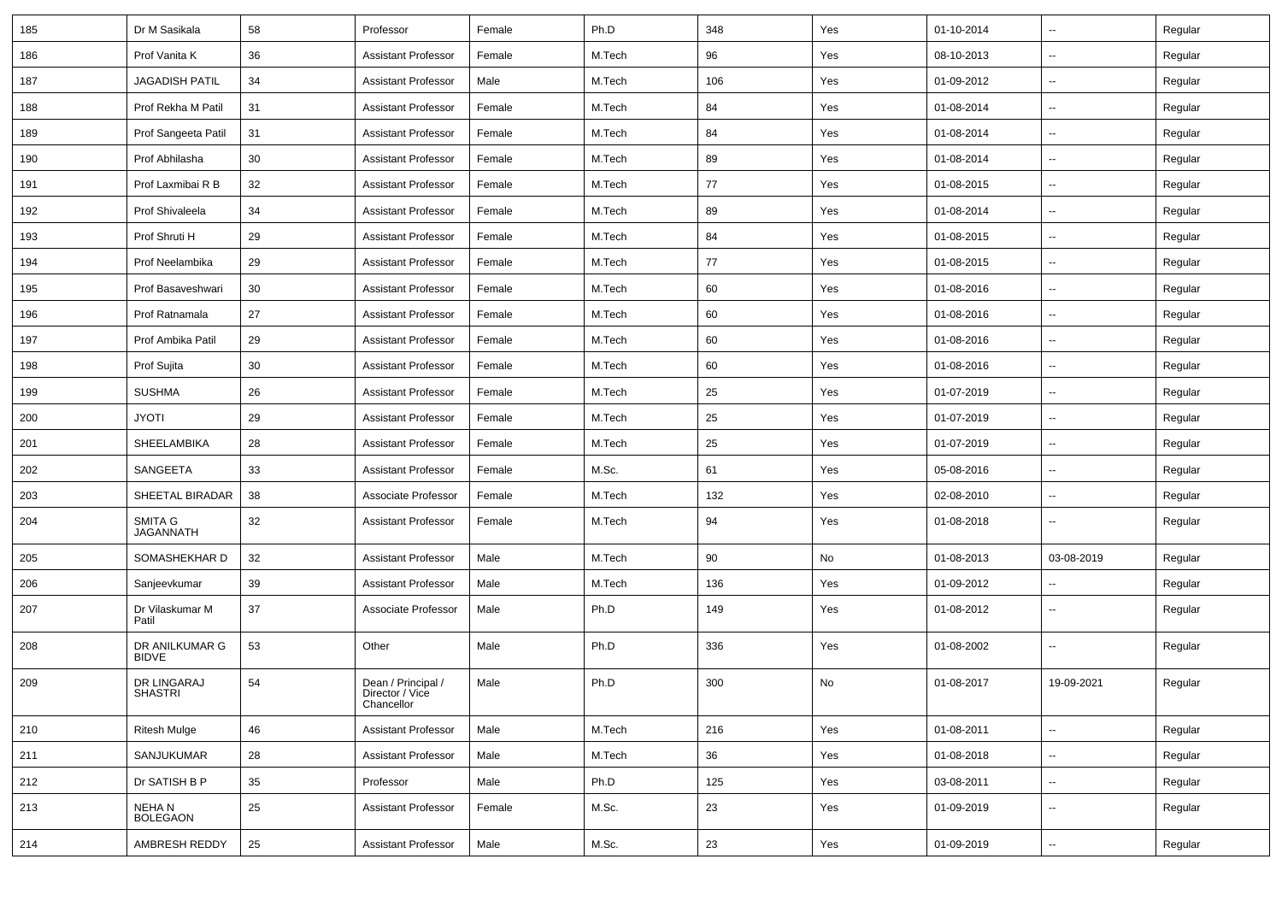| 185 | Dr M Sasikala                  | 58 | Professor                                           | Female | Ph.D   | 348 | Yes | 01-10-2014 | ⊷.                       | Regular |
|-----|--------------------------------|----|-----------------------------------------------------|--------|--------|-----|-----|------------|--------------------------|---------|
| 186 | Prof Vanita K                  | 36 | <b>Assistant Professor</b>                          | Female | M.Tech | 96  | Yes | 08-10-2013 | -−                       | Regular |
| 187 | <b>JAGADISH PATIL</b>          | 34 | <b>Assistant Professor</b>                          | Male   | M.Tech | 106 | Yes | 01-09-2012 | -−                       | Regular |
| 188 | Prof Rekha M Patil             | 31 | <b>Assistant Professor</b>                          | Female | M.Tech | 84  | Yes | 01-08-2014 | $\overline{a}$           | Regular |
| 189 | Prof Sangeeta Patil            | 31 | <b>Assistant Professor</b>                          | Female | M.Tech | 84  | Yes | 01-08-2014 | -−                       | Regular |
| 190 | Prof Abhilasha                 | 30 | <b>Assistant Professor</b>                          | Female | M.Tech | 89  | Yes | 01-08-2014 | Ξ.                       | Regular |
| 191 | Prof Laxmibai R B              | 32 | <b>Assistant Professor</b>                          | Female | M.Tech | 77  | Yes | 01-08-2015 | $\sim$                   | Regular |
| 192 | Prof Shivaleela                | 34 | <b>Assistant Professor</b>                          | Female | M.Tech | 89  | Yes | 01-08-2014 | -−                       | Regular |
| 193 | Prof Shruti H                  | 29 | <b>Assistant Professor</b>                          | Female | M.Tech | 84  | Yes | 01-08-2015 | $\overline{\phantom{a}}$ | Regular |
| 194 | Prof Neelambika                | 29 | <b>Assistant Professor</b>                          | Female | M.Tech | 77  | Yes | 01-08-2015 | --                       | Regular |
| 195 | Prof Basaveshwari              | 30 | <b>Assistant Professor</b>                          | Female | M.Tech | 60  | Yes | 01-08-2016 | -−                       | Regular |
| 196 | Prof Ratnamala                 | 27 | <b>Assistant Professor</b>                          | Female | M.Tech | 60  | Yes | 01-08-2016 | Ξ.                       | Regular |
| 197 | Prof Ambika Patil              | 29 | <b>Assistant Professor</b>                          | Female | M.Tech | 60  | Yes | 01-08-2016 | ⊷.                       | Regular |
| 198 | Prof Sujita                    | 30 | <b>Assistant Professor</b>                          | Female | M.Tech | 60  | Yes | 01-08-2016 | -−                       | Regular |
| 199 | <b>SUSHMA</b>                  | 26 | <b>Assistant Professor</b>                          | Female | M.Tech | 25  | Yes | 01-07-2019 | $\overline{\phantom{a}}$ | Regular |
| 200 | <b>JYOTI</b>                   | 29 | <b>Assistant Professor</b>                          | Female | M.Tech | 25  | Yes | 01-07-2019 | --                       | Regular |
| 201 | <b>SHEELAMBIKA</b>             | 28 | <b>Assistant Professor</b>                          | Female | M.Tech | 25  | Yes | 01-07-2019 | -−                       | Regular |
| 202 | SANGEETA                       | 33 | <b>Assistant Professor</b>                          | Female | M.Sc.  | 61  | Yes | 05-08-2016 | Ξ.                       | Regular |
| 203 | SHEETAL BIRADAR                | 38 | Associate Professor                                 | Female | M.Tech | 132 | Yes | 02-08-2010 | $\sim$                   | Regular |
| 204 | SMITA G<br><b>JAGANNATH</b>    | 32 | <b>Assistant Professor</b>                          | Female | M.Tech | 94  | Yes | 01-08-2018 | -−                       | Regular |
| 205 | SOMASHEKHAR D                  | 32 | <b>Assistant Professor</b>                          | Male   | M.Tech | 90  | No  | 01-08-2013 | 03-08-2019               | Regular |
| 206 | Sanjeevkumar                   | 39 | <b>Assistant Professor</b>                          | Male   | M.Tech | 136 | Yes | 01-09-2012 | Ξ.                       | Regular |
| 207 | Dr Vilaskumar M<br>Patil       | 37 | Associate Professor                                 | Male   | Ph.D   | 149 | Yes | 01-08-2012 | --                       | Regular |
| 208 | DR ANILKUMAR G<br><b>BIDVE</b> | 53 | Other                                               | Male   | Ph.D   | 336 | Yes | 01-08-2002 | $\overline{\phantom{a}}$ | Regular |
| 209 | DR LINGARAJ<br>SHASTRI         | 54 | Dean / Principal /<br>Director / Vice<br>Chancellor | Male   | Ph.D   | 300 | No  | 01-08-2017 | 19-09-2021               | Regular |
| 210 | <b>Ritesh Mulge</b>            | 46 | <b>Assistant Professor</b>                          | Male   | M.Tech | 216 | Yes | 01-08-2011 | Ξ.                       | Regular |
| 211 | SANJUKUMAR                     | 28 | <b>Assistant Professor</b>                          | Male   | M.Tech | 36  | Yes | 01-08-2018 | $\overline{\phantom{a}}$ | Regular |
| 212 | Dr SATISH B P                  | 35 | Professor                                           | Male   | Ph.D   | 125 | Yes | 03-08-2011 | $\overline{\phantom{a}}$ | Regular |
| 213 | NEHA N<br><b>BOLEGAON</b>      | 25 | <b>Assistant Professor</b>                          | Female | M.Sc.  | 23  | Yes | 01-09-2019 | $\sim$                   | Regular |
| 214 | AMBRESH REDDY                  | 25 | <b>Assistant Professor</b>                          | Male   | M.Sc.  | 23  | Yes | 01-09-2019 | $\sim$                   | Regular |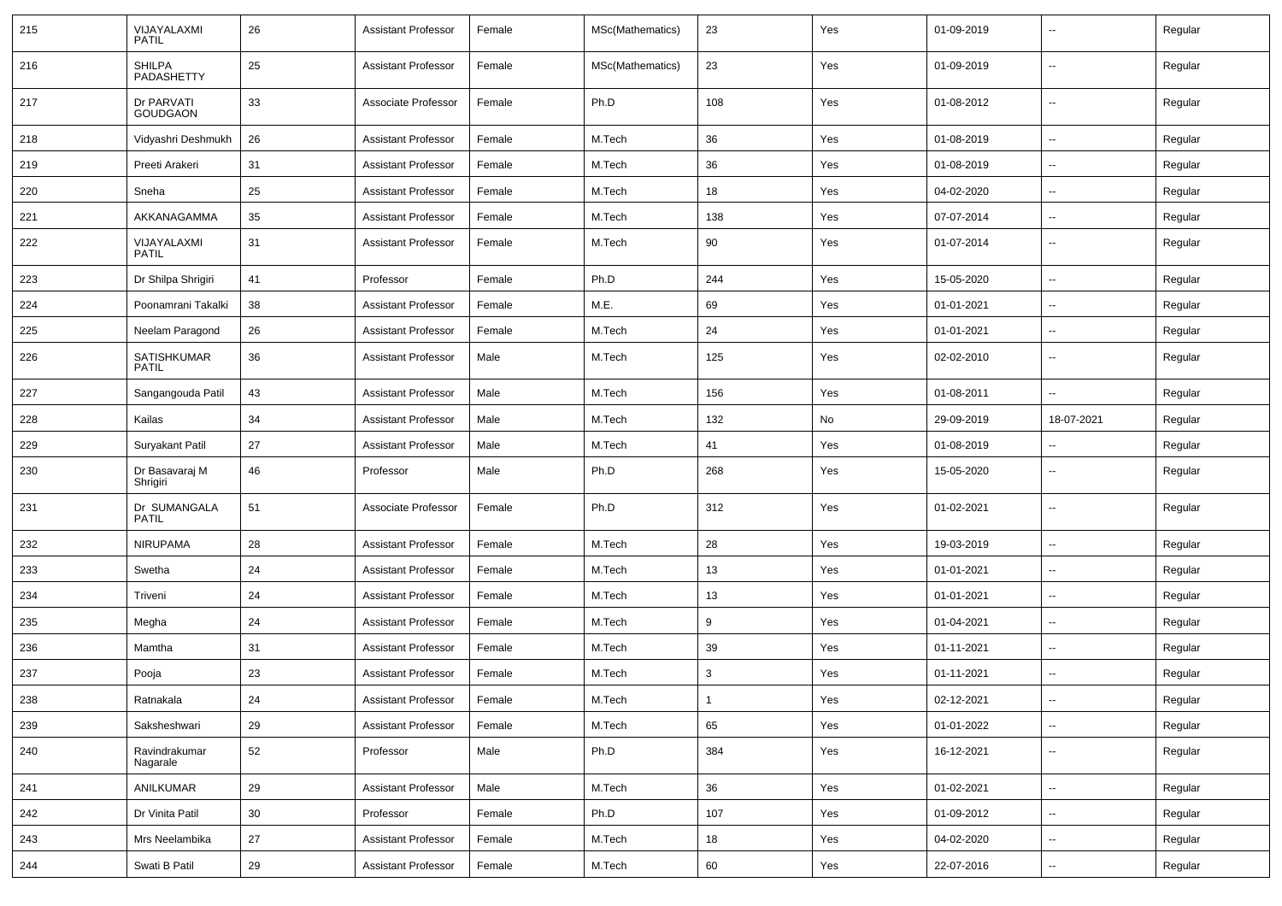| 215 | VIJAYALAXMI<br><b>PATIL</b>   | 26              | <b>Assistant Professor</b> | Female | MSc(Mathematics) | 23  | Yes | 01-09-2019 | $\sim$                   | Regular |
|-----|-------------------------------|-----------------|----------------------------|--------|------------------|-----|-----|------------|--------------------------|---------|
| 216 | <b>SHILPA</b><br>PADASHETTY   | 25              | <b>Assistant Professor</b> | Female | MSc(Mathematics) | 23  | Yes | 01-09-2019 | $\sim$                   | Regular |
| 217 | Dr PARVATI<br><b>GOUDGAON</b> | 33              | Associate Professor        | Female | Ph.D             | 108 | Yes | 01-08-2012 | $\sim$                   | Regular |
| 218 | Vidyashri Deshmukh            | 26              | <b>Assistant Professor</b> | Female | M.Tech           | 36  | Yes | 01-08-2019 | $\sim$                   | Regular |
| 219 | Preeti Arakeri                | 31              | <b>Assistant Professor</b> | Female | M.Tech           | 36  | Yes | 01-08-2019 | $\overline{\phantom{a}}$ | Regular |
| 220 | Sneha                         | 25              | <b>Assistant Professor</b> | Female | M.Tech           | 18  | Yes | 04-02-2020 | $\overline{\phantom{a}}$ | Regular |
| 221 | AKKANAGAMMA                   | 35              | <b>Assistant Professor</b> | Female | M.Tech           | 138 | Yes | 07-07-2014 | $\sim$                   | Regular |
| 222 | VIJAYALAXMI<br><b>PATIL</b>   | 31              | <b>Assistant Professor</b> | Female | M.Tech           | 90  | Yes | 01-07-2014 | $\overline{\phantom{a}}$ | Regular |
| 223 | Dr Shilpa Shrigiri            | 41              | Professor                  | Female | Ph.D             | 244 | Yes | 15-05-2020 | $\sim$                   | Regular |
| 224 | Poonamrani Takalki            | 38              | <b>Assistant Professor</b> | Female | M.E.             | 69  | Yes | 01-01-2021 | $\sim$                   | Regular |
| 225 | Neelam Paragond               | 26              | <b>Assistant Professor</b> | Female | M.Tech           | 24  | Yes | 01-01-2021 | $\sim$                   | Regular |
| 226 | SATISHKUMAR<br><b>PATIL</b>   | 36              | <b>Assistant Professor</b> | Male   | M.Tech           | 125 | Yes | 02-02-2010 | $\overline{\phantom{a}}$ | Regular |
| 227 | Sangangouda Patil             | 43              | <b>Assistant Professor</b> | Male   | M.Tech           | 156 | Yes | 01-08-2011 | $\overline{\phantom{a}}$ | Regular |
| 228 | Kailas                        | 34              | <b>Assistant Professor</b> | Male   | M.Tech           | 132 | No  | 29-09-2019 | 18-07-2021               | Regular |
| 229 | Suryakant Patil               | 27              | <b>Assistant Professor</b> | Male   | M.Tech           | 41  | Yes | 01-08-2019 |                          | Regular |
| 230 | Dr Basavaraj M<br>Shrigiri    | 46              | Professor                  | Male   | Ph.D             | 268 | Yes | 15-05-2020 | $\overline{\phantom{a}}$ | Regular |
| 231 | Dr SUMANGALA<br><b>PATIL</b>  | 51              | Associate Professor        | Female | Ph.D             | 312 | Yes | 01-02-2021 | $\overline{\phantom{a}}$ | Regular |
| 232 | <b>NIRUPAMA</b>               | 28              | <b>Assistant Professor</b> | Female | M.Tech           | 28  | Yes | 19-03-2019 | $\sim$                   | Regular |
| 233 | Swetha                        | 24              | <b>Assistant Professor</b> | Female | M.Tech           | 13  | Yes | 01-01-2021 | $\sim$                   | Regular |
| 234 | Triveni                       | 24              | <b>Assistant Professor</b> | Female | M.Tech           | 13  | Yes | 01-01-2021 | $\sim$                   | Regular |
| 235 | Megha                         | 24              | <b>Assistant Professor</b> | Female | M.Tech           | 9   | Yes | 01-04-2021 | $\overline{\phantom{a}}$ | Regular |
| 236 | Mamtha                        | 31              | <b>Assistant Professor</b> | Female | M.Tech           | 39  | Yes | 01-11-2021 |                          | Regular |
| 237 | Pooja                         | 23              | <b>Assistant Professor</b> | Female | M.Tech           | 3   | Yes | 01-11-2021 | $\overline{\phantom{a}}$ | Regular |
| 238 | Ratnakala                     | 24              | Assistant Professor        | Female | M.Tech           |     | Yes | 02-12-2021 |                          | Regular |
| 239 | Saksheshwari                  | 29              | Assistant Professor        | Female | M.Tech           | 65  | Yes | 01-01-2022 | $\sim$                   | Regular |
| 240 | Ravindrakumar<br>Nagarale     | 52              | Professor                  | Male   | Ph.D             | 384 | Yes | 16-12-2021 | $\sim$                   | Regular |
| 241 | ANILKUMAR                     | 29              | <b>Assistant Professor</b> | Male   | M.Tech           | 36  | Yes | 01-02-2021 | $\sim$                   | Regular |
| 242 | Dr Vinita Patil               | 30 <sup>°</sup> | Professor                  | Female | Ph.D             | 107 | Yes | 01-09-2012 | $\sim$                   | Regular |
| 243 | Mrs Neelambika                | 27              | <b>Assistant Professor</b> | Female | M.Tech           | 18  | Yes | 04-02-2020 | $\overline{\phantom{a}}$ | Regular |
| 244 | Swati B Patil                 | 29              | <b>Assistant Professor</b> | Female | M.Tech           | 60  | Yes | 22-07-2016 | $\sim$                   | Regular |